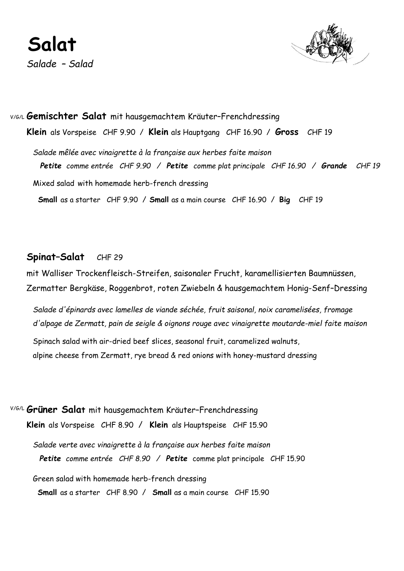

V/G/L **Gemischter Salat** mit hausgemachtem Kräuter–Frenchdressing **Klein** als Vorspeise CHF 9.90 / **Klein** als Hauptgang CHF 16.90 / **Gross** CHF 19  *Salade mêlée avec vinaigrette à la française aux herbes faite maison Petite comme entrée CHF 9.90 / Petite comme plat principale CHF 16.90 / Grande CHF 19* Mixed salad with homemade herb-french dressing  **Small** as a starter CHF 9.90 / **Small** as a main course CHF 16.90 / **Big** CHF 19

#### **Spinat–Salat** CHF 29

mit Walliser Trockenfleisch-Streifen, saisonaler Frucht, karamellisierten Baumnüssen, Zermatter Bergkäse, Roggenbrot, roten Zwiebeln & hausgemachtem Honig-Senf–Dressing

 *Salade d'épinards avec lamelles de viande séchée, fruit saisonal, noix caramelisées, fromage d'alpage de Zermatt, pain de seigle & oignons rouge avec vinaigrette moutarde-miel faite maison*

 Spinach salad with air-dried beef slices, seasonal fruit, caramelized walnuts, alpine cheese from Zermatt, rye bread & red onions with honey-mustard dressing

V/G/L **Grüner Salat** mit hausgemachtem Kräuter–Frenchdressing **Klein** als Vorspeise CHF 8.90 / **Klein** als Hauptspeise CHF 15.90

 *Salade verte avec vinaigrette à la française aux herbes faite maison Petite comme entrée CHF 8.90 / Petite* comme plat principale CHF 15.90

Green salad with homemade herb-french dressing

 **Small** as a starter CHF 8.90 / **Small** as a main course CHF 15.90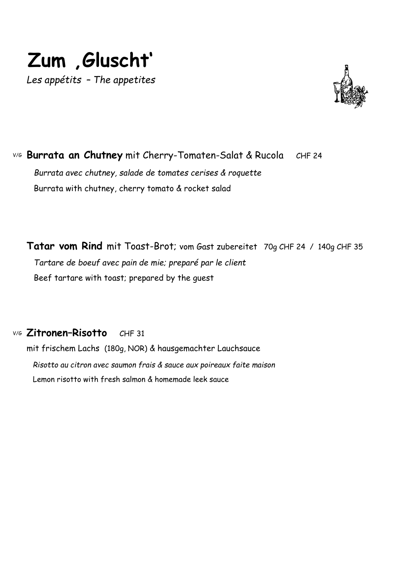



V/G **Burrata an Chutney** mit Cherry-Tomaten-Salat & RucolaCHF 24  *Burrata avec chutney, salade de tomates cerises & roquette* Burrata with chutney, cherry tomato & rocket salad

**Tatar vom Rind** mit Toast-Brot; vom Gast zubereitet 70g CHF 24 / 140g CHF 35  *Tartare de boeuf avec pain de mie; preparé par le client* Beef tartare with toast; prepared by the guest

V/G **Zitronen–Risotto** CHF 31

mit frischem Lachs (180g, NOR) & hausgemachter Lauchsauce  *Risotto au citron avec saumon frais & sauce aux poireaux faite maison* Lemon risotto with fresh salmon & homemade leek sauce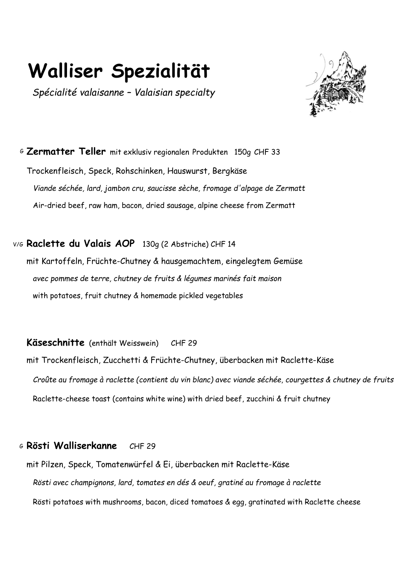# **Walliser Spezialität**

 *Spécialité valaisanne – Valaisian specialty*

<sup>G</sup> **Zermatter Teller** mit exklusiv regionalen Produkten 150g CHF 33 Trockenfleisch, Speck, Rohschinken, Hauswurst, Bergkäse  *Viande séchée, lard, jambon cru, saucisse sèche, fromage d'alpage de Zermatt* Air-dried beef, raw ham, bacon, dried sausage, alpine cheese from Zermatt

V/G **Raclette du Valais AOP** 130g (2 Abstriche) CHF 14 mit Kartoffeln, Früchte-Chutney & hausgemachtem, eingelegtem Gemüse  *avec pommes de terre, chutney de fruits & légumes marinés fait maison* with potatoes, fruit chutney & homemade pickled vegetables

**Käseschnitte** (enthält Weisswein)CHF 29

mit Trockenfleisch, Zucchetti & Früchte-Chutney, überbacken mit Raclette-Käse  *Croûte au fromage à raclette (contient du vin blanc) avec viande séchée, courgettes & chutney de fruits* Raclette-cheese toast (contains white wine) with dried beef, zucchini & fruit chutney

#### <sup>G</sup> **Rösti Walliserkanne** CHF 29

mit Pilzen, Speck, Tomatenwürfel & Ei, überbacken mit Raclette-Käse  *Rösti avec champignons, lard, tomates en dés & oeuf, gratiné au fromage à raclette* Rösti potatoes with mushrooms, bacon, diced tomatoes & egg, gratinated with Raclette cheese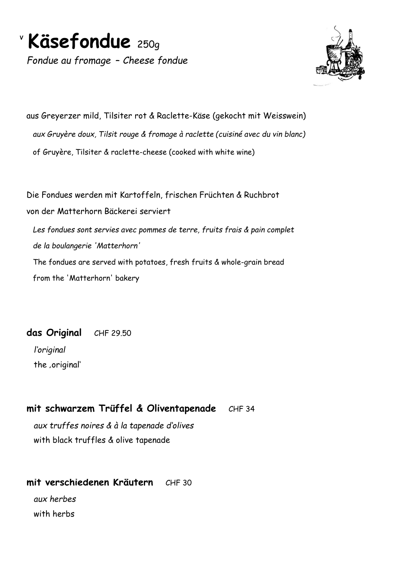

*Fondue au fromage* – *Cheese fondue*



aus Greyerzer mild, Tilsiter rot & Raclette-Käse (gekocht mit Weisswein)  *aux Gruyère doux, Tilsit rouge & fromage à raclette (cuisiné avec du vin blanc)* of Gruyère, Tilsiter & raclette-cheese (cooked with white wine)

Die Fondues werden mit Kartoffeln, frischen Früchten & Ruchbrot von der Matterhorn Bäckerei serviert  *Les fondues sont servies avec pommes de terre, fruits frais & pain complet de la boulangerie 'Matterhorn'* The fondues are served with potatoes, fresh fruits & whole-grain bread from the 'Matterhorn' bakery

**das Original** CHF 29.50  *l'original*  the ,original'

## **mit schwarzem Trüffel & Oliventapenade** CHF 34

 *aux truffes noires & à la tapenade d'olives* with black truffles & olive tapenade

#### **mit verschiedenen Kräutern** CHF 30

 *aux herbes* with herbs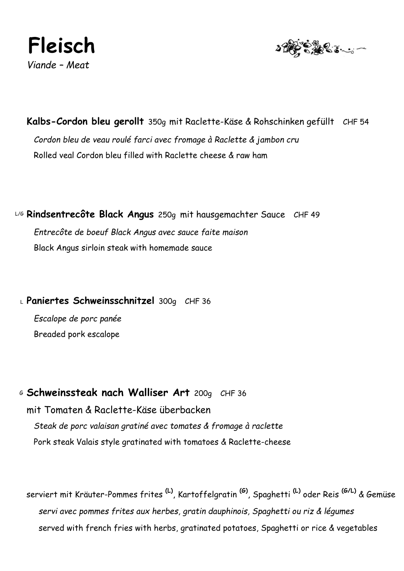

**Kalbs-Cordon bleu gerollt** 350g mit Raclette-Käse & Rohschinken gefüllt CHF 54  *Cordon bleu de veau roulé farci avec fromage à Raclette & jambon cru* Rolled veal Cordon bleu filled with Raclette cheese & raw ham

L/G **Rindsentrecôte Black Angus** 250g mit hausgemachter Sauce CHF 49  *Entrecôte de boeuf Black Angus avec sauce faite maison* Black Angus sirloin steak with homemade sauce

L Paniertes Schweinsschnitzel 300g CHF 36

 *Escalope de porc panée* Breaded pork escalope

<sup>G</sup> **Schweinssteak nach Walliser Art** 200g CHF 36 mit Tomaten & Raclette-Käse überbacken  *Steak de porc valaisan gratiné avec tomates & fromage à raclette* Pork steak Valais style gratinated with tomatoes & Raclette-cheese

serviert mit Kräuter-Pommes frites **(L)** , Kartoffelgratin **(G)** , Spaghetti **(L)** oder Reis **(G/L)** & Gemüse  *servi avec pommes frites aux herbes, gratin dauphinois, Spaghetti ou riz & légumes* served with french fries with herbs, gratinated potatoes, Spaghetti or rice & vegetables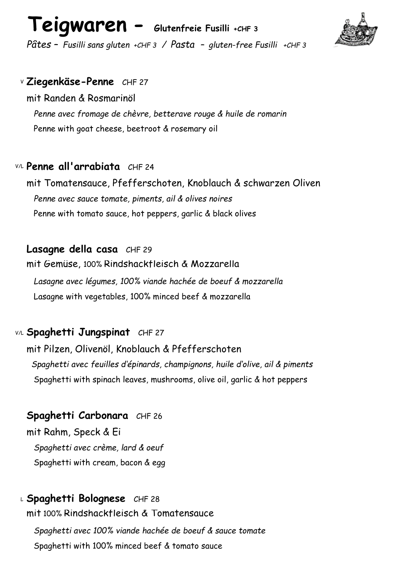# **Teigwaren - Glutenfreie Fusilli +CHF 3**



*Pâtes – Fusilli sans gluten +CHF 3 / Pasta – gluten-free Fusilli +CHF 3*

#### <sup>V</sup> **Ziegenkäse-Penne** CHF 27

mit Randen & Rosmarinöl  *Penne avec fromage de chèvre, betterave rouge & huile de romarin* Penne with goat cheese, beetroot & rosemary oil

### V/L **Penne all'arrabiata** CHF 24

mit Tomatensauce, Pfefferschoten, Knoblauch & schwarzen Oliven  *Penne avec sauce tomate, piments, ail & olives noires* Penne with tomato sauce, hot peppers, garlic & black olives

### **Lasagne della casa** CHF 29

mit Gemüse, 100% Rindshackfleisch & Mozzarella

 *Lasagne avec légumes, 100% viande hachée de boeuf & mozzarella* Lasagne with vegetables, 100% minced beef & mozzarella

## V/L **Spaghetti Jungspinat** CHF 27

mit Pilzen, Olivenöl, Knoblauch & Pfefferschoten  *Spaghetti avec feuilles d'épinards, champignons, huile d'olive, ail & piments* Spaghetti with spinach leaves, mushrooms, olive oil, garlic & hot peppers

## **Spaghetti Carbonara** CHF 26

mit Rahm, Speck & Ei  *Spaghetti avec crème, lard & oeuf*  Spaghetti with cream, bacon & egg

## <sup>L</sup> **Spaghetti Bolognese** CHF 28

mit 100% Rindshackfleisch & Tomatensauce

 *Spaghetti avec 100% viande hachée de boeuf & sauce tomate* Spaghetti with 100% minced beef & tomato sauce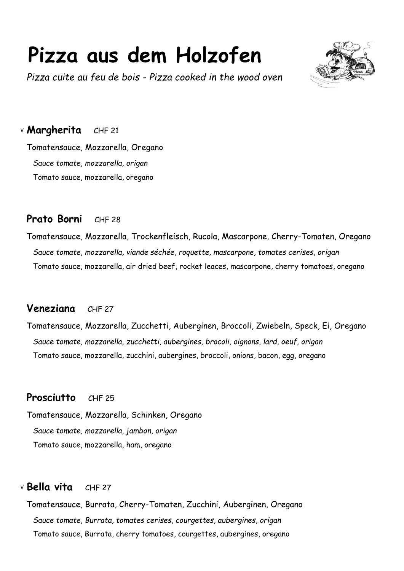# **Pizza aus dem Holzofen**

*Pizza cuite au feu de bois - Pizza cooked in the wood oven*



<sup>V</sup> **Margherita** CHF 21

Tomatensauce, Mozzarella, Oregano  *Sauce tomate, mozzarella, origan* Tomato sauce, mozzarella, oregano

## **Prato Borni** CHF 28

Tomatensauce, Mozzarella, Trockenfleisch, Rucola, Mascarpone, Cherry-Tomaten, Oregano  *Sauce tomate, mozzarella, viande séchée, roquette, mascarpone, tomates cerises, origan* Tomato sauce, mozzarella, air dried beef, rocket leaces, mascarpone, cherry tomatoes, oregano

## **Veneziana** CHF 27

Tomatensauce, Mozzarella, Zucchetti, Auberginen, Broccoli, Zwiebeln, Speck, Ei, Oregano  *Sauce tomate, mozzarella, zucchetti, aubergines, brocoli, oignons, lard, oeuf, origan* Tomato sauce, mozzarella, zucchini, aubergines, broccoli, onions, bacon, egg, oregano

## **Prosciutto** CHF 25

Tomatensauce, Mozzarella, Schinken, Oregano  *Sauce tomate, mozzarella, jambon, origan* Tomato sauce, mozzarella, ham, oregano

## <sup>V</sup> **Bella vita** CHF 27

Tomatensauce, Burrata, Cherry-Tomaten, Zucchini, Auberginen, Oregano  *Sauce tomate, Burrata, tomates cerises, courgettes, aubergines, origan* Tomato sauce, Burrata, cherry tomatoes, courgettes, aubergines, oregano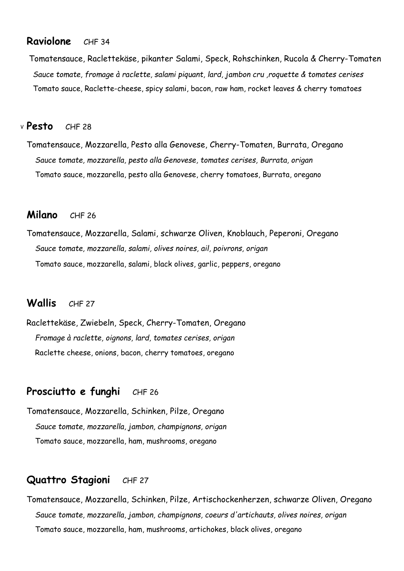#### **Raviolone** CHF 34

 Tomatensauce, Raclettekäse, pikanter Salami, Speck, Rohschinken, Rucola & Cherry-Tomaten  *Sauce tomate, fromage à raclette, salami piquant, lard, jambon cru ,roquette & tomates cerises*  Tomato sauce, Raclette-cheese, spicy salami, bacon, raw ham, rocket leaves & cherry tomatoes

#### <sup>V</sup> **Pesto** CHF 28

Tomatensauce, Mozzarella, Pesto alla Genovese, Cherry-Tomaten, Burrata, Oregano  *Sauce tomate, mozzarella, pesto alla Genovese, tomates cerises, Burrata, origan* Tomato sauce, mozzarella, pesto alla Genovese, cherry tomatoes, Burrata, oregano

#### **Milano** CHF 26

Tomatensauce, Mozzarella, Salami, schwarze Oliven, Knoblauch, Peperoni, Oregano  *Sauce tomate, mozzarella, salami, olives noires, ail, poivrons, origan* Tomato sauce, mozzarella, salami, black olives, garlic, peppers, oregano

#### **Wallis** CHF 27

Raclettekäse, Zwiebeln, Speck, Cherry-Tomaten, Oregano  *Fromage à raclette, oignons, lard, tomates cerises, origan* Raclette cheese, onions, bacon, cherry tomatoes, oregano

## **Prosciutto e funghi** CHF 26

Tomatensauce, Mozzarella, Schinken, Pilze, Oregano  *Sauce tomate, mozzarella, jambon, champignons, origan* Tomato sauce, mozzarella, ham, mushrooms, oregano

### **Quattro Stagioni** CHF 27

Tomatensauce, Mozzarella, Schinken, Pilze, Artischockenherzen, schwarze Oliven, Oregano  *Sauce tomate, mozzarella, jambon, champignons, coeurs d'artichauts, olives noires, origan* Tomato sauce, mozzarella, ham, mushrooms, artichokes, black olives, oregano